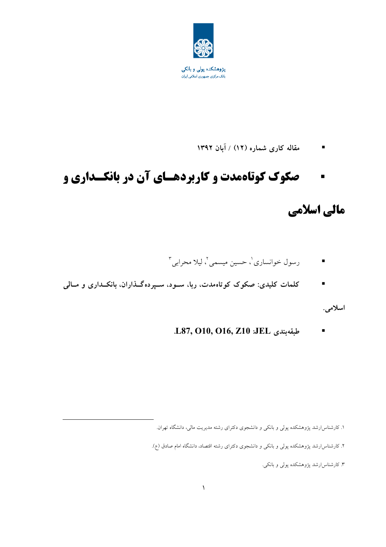

مقاله کاری شماره (۱۲) / آبان ۱۳۹۲  $\blacksquare$ 

#### صکوک کوتاهمدت و کاربردهسای آن در بانکسداری و  $\blacksquare$

## مالی اسلامی

- رسول خوانساري'، حسين ميسمى'، ليلا محرابي "
- کلمات کلیدی: صکوک کوتاهمدت، ربا، سـود، سـپردهگـذاران، بانکـداری و مـالی

اسلامى.

.L87, O10, O16, Z10 :JEL طبقهبندی  $\blacksquare$ 

۱. کارشناسارشد پژوهشکده پولی و بانکی و دانشجوی دکترای رشته مدیریت مالی، دانشگاه تهران.

۲. کارشناس|رشد پژوهشکده پولی و بانکی و دانشجوی دکترای رشته اقتصاد، دانشگاه امام صادق (ع).

۳. کارشناسارشد پژوهشکده پولی و بانکی.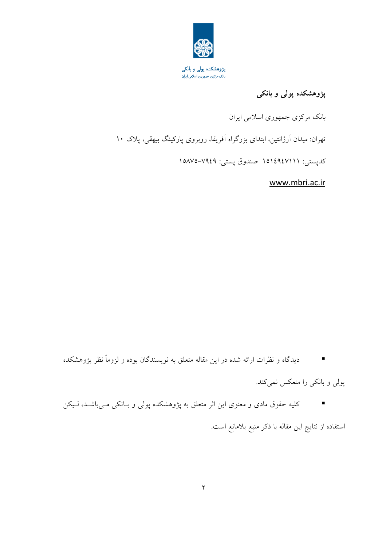

### پژوهشکده پولی و بانکی

بانک مرکزی جمهوری اسلامی ایران

تهران: میدان آرژانتین، ابتدای بزرگراه آفریقا، روبروی پارکینگ بیهقی، پلاک ۱۰

كدپستى: ١٥١٤٩٤٧١١١ صندوق پستى: ٧٩٤٩–١٥٨٧٥

www.mbri.ac.ir

دیدگاه و نظرات ارائه شده در این مقاله متعلق به نویسندگان بوده و لزوماً نظر پژوهشکده  $\sim 10$ 

یولی و بانکی را منعکس نمی کند.

کلیه حقوق مادی و معنوی این اثر متعلق به پژوهشکده پولی و بـانکی مـیباشــد، لـیکن  $\mathcal{L}^{\mathcal{L}}$ استفاده از نتايج اين مقاله با ذكر منبع بلامانع است.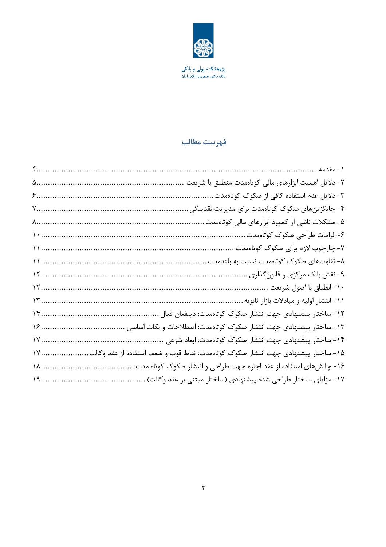

**پژوهشکده پولی و بانکی**<br>بانک مرکزی جمهوری اسلامی ایران

### فهرست مطالب

| $\begin{minipage}{0.03\textwidth} \centering \begin{minipage}{0.03\textwidth} \centering \centering \end{minipage} \begin{minipage}{0.03\textwidth} \centering \begin{minipage}{0.03\textwidth} \centering \centering \end{minipage} \begin{minipage}{0.03\textwidth} \centering \centering \end{minipage} \begin{minipage}{0.03\textwidth} \centering \centering \end{minipage} \begin{minipage}{0.03\textwidth} \centering \centering \end{minipage} \begin{minipage}{0.03\textwidth} \centering \centering \end{minipage} \begin{minipage}{0.03\textwidth} \$ | ٢- دلايل اهميت ابزارهاي مالي كوتاهمدت منطبق با شريعت                              |
|------------------------------------------------------------------------------------------------------------------------------------------------------------------------------------------------------------------------------------------------------------------------------------------------------------------------------------------------------------------------------------------------------------------------------------------------------------------------------------------------------------------------------------------------------------------|-----------------------------------------------------------------------------------|
|                                                                                                                                                                                                                                                                                                                                                                                                                                                                                                                                                                  | ۳- دلایل عدم استفاده کافی از صکوک کوتاهمدت                                        |
|                                                                                                                                                                                                                                                                                                                                                                                                                                                                                                                                                                  | ۴- جایگزینهای صکوک کوتاهمدت برای مدیریت نقدینگی                                   |
|                                                                                                                                                                                                                                                                                                                                                                                                                                                                                                                                                                  | ۵- مشکلات ناشی از کمبود ابزارهای مالی کوتاهمدت                                    |
|                                                                                                                                                                                                                                                                                                                                                                                                                                                                                                                                                                  | ۶- الزامات طراحي صكوك كوتاهمدت                                                    |
|                                                                                                                                                                                                                                                                                                                                                                                                                                                                                                                                                                  | ۷- چارچوب لازم برای صکوک کوتاهمدت                                                 |
|                                                                                                                                                                                                                                                                                                                                                                                                                                                                                                                                                                  | ۸- تفاوتهای صکوک کوتاهمدت نسبت به بلندمدت                                         |
|                                                                                                                                                                                                                                                                                                                                                                                                                                                                                                                                                                  | ۹- نقش بانک مرکزی و قانون گذاری                                                   |
|                                                                                                                                                                                                                                                                                                                                                                                                                                                                                                                                                                  | ۱۰- انطباق با اصول شريعت                                                          |
|                                                                                                                                                                                                                                                                                                                                                                                                                                                                                                                                                                  | ۱۱- انتشار اولیه و مبادلات بازار ثانویه                                           |
| $\Upsilon$                                                                                                                                                                                                                                                                                                                                                                                                                                                                                                                                                       | ١٢- ساختار پیشنهادی جهت انتشار صکوک کوتاهمدت: ذینفعان فعال                        |
| $19$                                                                                                                                                                                                                                                                                                                                                                                                                                                                                                                                                             | ۱۳- ساختار پیشنهادی جهت انتشار صکوک کوتاهمدت: اصطلاحات و نکات اساسی               |
| 1Y                                                                                                                                                                                                                                                                                                                                                                                                                                                                                                                                                               | ۱۴- ساختار پیشنهادی جهت انتشار صکوک کوتاهمدت: ابعاد شرعی                          |
| $\mathcal{W}$                                                                                                                                                                                                                                                                                                                                                                                                                                                                                                                                                    | ۱۵– ساختار پیشنهادی جهت انتشار صکوک کوتاهمدت: نقاط قوت و ضعف استفاده از عقد وکالت |
| 11                                                                                                                                                                                                                                                                                                                                                                                                                                                                                                                                                               | ۱۶- چالشهای استفاده از عقد اجاره جهت طراحی و انتشار صکوک کوتاه مدت                |
| 19.                                                                                                                                                                                                                                                                                                                                                                                                                                                                                                                                                              | ۱۷- مزایای ساختار طراحی شده پیشنهادی (ساختار مبتنی بر عقد وكالت)                  |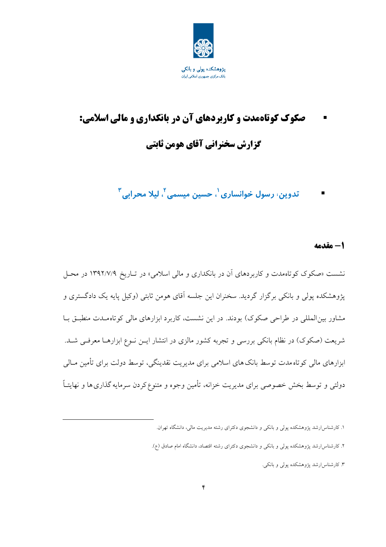

# صکوک کوتاهمدت و کاربردهای آن در بانکداری و مالی اسلامی: گزارش سخنرانی آقای هومن ثابتی

تدوین، رسول خوانساری <sup>۱</sup>، حسین میسمی <sup>۲</sup>، لیلا محرابی <sup>۳</sup>

#### 1- مقدمه

نشست «صکوک کوتاهمدت و کاربردهای آن در بانکداری و مالی اسلامی» در تـاریخ ۱۳۹۲/۷/۹ در محـل یژوهشکده پولی و بانکی برگزار گردید. سخنران این جلسه آقای هومن ثابتی (وکیل پایه یک دادگستری و مشاور بینالمللی در طراحی صکوک) بودند. در این نشست، کاربرد ابزارهای مالی کوتاهمـدت منطبـق بـا شریعت (صکوک) در نظام بانکی بررسی و تجربه کشور مالزی در انتشار ایــن نــوع ابزارهــا معرفــی شــد. ابزارهای مالی کوتاه مدت توسط بانک های اسلامی برای مدیریت نقدینگی، توسط دولت برای تأمین مـالی دولتبی و توسط بخش خصوصی برای مدیریت خزانه، تأمین وجوه و متنوع کردن سرمایه گذاری ها و نهایتـاً

۱. کارشناس(رشد پژوهشکده پولی و بانکی و دانشجوی دکترای رشته مدیریت مالی، دانشگاه تهران.

۲. کارشناسارشد پژوهشکده پولی و بانکی و دانشجوی دکترای رشته اقتصاد، دانشگاه امام صادق (ع).

۳. کارشناسارشد پژوهشکده پولی و بانکی.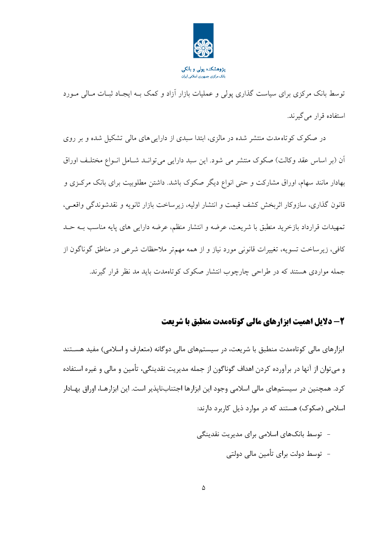

پژوهشکده پولی و بانکی .<br>بانک مرکزی جمهوری اسلامی ایران

توسط بانک مرکزی برای سیاست گذاری پولی و عملیات بازار آزاد و کمک بــه ایجــاد ثبــات مــالی مــورد استفاده قرار می گیرند.

در صکوک کوتاه مدت منتشر شده در مالزی، ابتدا سبدی از دارایی های مالی تشکیل شده و بر روی اّن (بر اساس عقد وكالت) صكوك منتشر مى شود. اين سبد دارايي مى توانـد شـامل انــواع مختلـف اوراق بهادار مانند سهام، اوراق مشارکت و حتی انواع دیگر صکوک باشد. داشتن مطلوبیت برای بانک مرکزی و قانون گذاری، سازوکار اثربخش کشف قیمت و انتشار اولیه، زیرساخت بازار ثانویه و نقدشوندگی واقعـی، تمهيدات قرارداد بازخريد منطبق با شريعت، عرضه و انتشار منظم، عرضه دارايي هاي پايه مناسب بــه حــد کافی، زیرساخت تسویه، تغییرات قانونی مورد نیاز و از همه مهمتر ملاحظات شرعی در مناطق گوناگون از جمله مواردی هستند که در طراحی چارچوب انتشار صکوک کوتاهمدت باید مد نظر قرار گیرند.

### 2- دلایل اهمیت ابزارهای مالی کوتاهمدت منطبق با شریعت

ابزارهای مالی کوتاهمدت منطبق با شریعت، در سیستمهای مالی دوگانه (متعارف و اسلامی) مفید هسـتند و مے توان از آنها در برآوردہ کردن اهداف گوناگون از جمله مدیریت نقدینگے، تأمین و مالی و غیرہ استفادہ کرد. همچنین در سیستمهای مالی اسلامی وجود این ابزارها اجتنابنایذیر است. این ابزارهـا، اوراق بهـادار اسلامی (صکوک) هستند که در موارد ذیل کاربرد دارند:

> - توسط بانکهای اسلامی برای مدیریت نقدینگی – توسط دولت برای تأمین مالی دولتی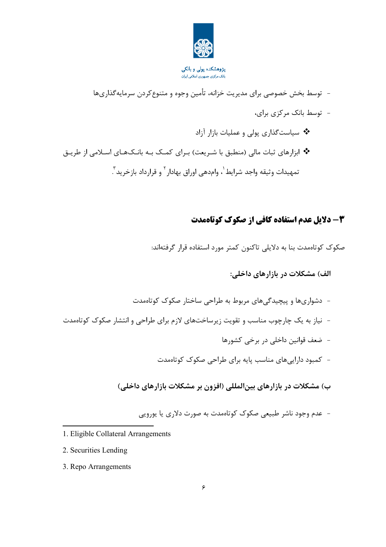

- توسط بخش خصوصی برای مدیریت خزانه، تأمین وجوه و متنوع کردن سرمایه گذاریها - توسط بانک مرکزی برای، \* سیاستگذاری پولی و عملیات بازار آزاد \* ابزارهای ثبات مالی (منطبق با شـریعت) بـرای کمـک بـه بانـکـهـای اسـلامی از طریـق تمهيدات وثيقه واجد شرايط`، وامدهي اوراق بهادار ` و قرارداد بازخريد ``.

### 3- دلایل عدم استفاده کافی از صکوک کوتاهمدت

صکوک کوتاممدت بنا به دلایلی تاکنون کمتر مورد استفاده قرار گرفتهاند:

الف) مشکلات در بازارهای داخلی:

- دشواریها و پیچیدگیهای مربوط به طراحی ساختار صکوک کوتاهمدت - نیاز به یک چارچوب مناسب و تقویت زیرساختهای لازم برای طراحی و انتشار صکوک کوتاهمدت – ضعف قوانین داخلی در برخی کشورها - کمبود دارایے های مناسب پایه برای طراحی صکوک کوتاممدت

ب) مشکلات در بازارهای بین|لمللی (افزون بر مشکلات بازارهای داخلی)

- عدم وجود ناشر طبیعی صکوک کوتاهمدت به صورت دلاری یا پوروپی

- 1. Eligible Collateral Arrangements
- 2. Securities Lending
- 3. Repo Arrangements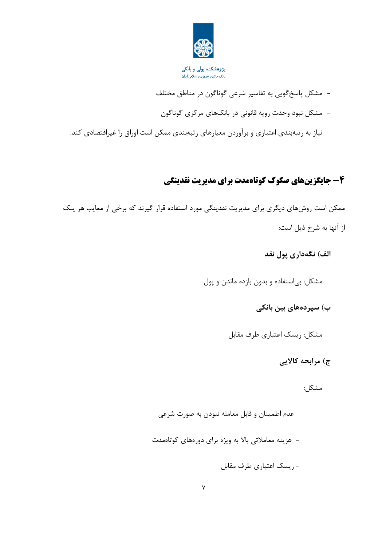

**پژوهشکده پولی و بانکی**<br>بانک مرکزی جمهوری اسلامی ایران

- مشکل پاسخگویی به تفاسیر شرعی گوناگون در مناطق مختلف - مشکل نبود وحدت رویه قانونی در بانکهای مرکزی گوناگون - نیاز به رتبهبندی اعتباری و برآوردن معیارهای رتبهبندی ممکن است اوراق را غیراقتصادی کند.

### ۴- جایگزینهای صکوک کوتاهمدت برای مدیریت نقدینگی

ممکن است روشهای دیگری برای مدیریت نقدینگی مورد استفاده قرار گیرند که برخی از معایب هر یک از آنها به شرح ذیل است:

الف) نگەدارى پول نقد

مشکل: بی|ستفاده و بدون بازده ماندن و پول

ب) سیردەھای بین بانکی

مشكل: ريسك اعتباري طرف مقابل

ج) مرابحه کالایی

مشكل:

- عدم اطمینان و قابل معامله نبودن به صورت شرعی - هزینه معاملاتی بالا به ویژه برای دورههای کوتاهمدت - ریسک اعتباری طرف مقابل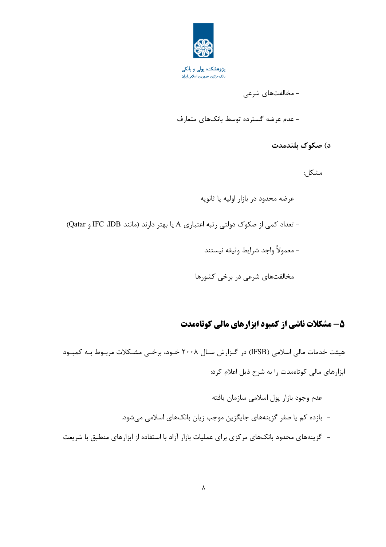

پژوهشکده پولی و بانکی بانک مرکزی جمهوری اسلامی ایران

- مخالفتهای شرعی

- عدم عرضه گسترده توسط بانکهای متعارف

د) صکوک بلندمدت

مشكل:

- عرضه محدود در بازار اوليه يا ثانويه - تعداد کمی از صکوک دولتی رتبه اعتباری A یا بهتر دارند (مانند IFC ،IDB و Qatar) - معمولاً واجد شرايط وثيقه نيستند - مخالفتهای شرعی در برخی کشورها

### 5- مشکلات ناشی از کمبود ابزارهای مالی کوتاهمدت

هیئت خدمات مالی اسلامی (IFSB) در گـزارش سـال ۲۰۰۸ خـود، برخــی مشــکلات مربـوط بــه کمبــود ابزارهای مالی کوتاهمدت را به شرح ذیل اعلام کرد:

- عدم وجود بازار پول اسلامی سازمان یافته - بازده کم یا صفر گزینههای جایگزین موجب زیان بانکهای اسلامی میشود.
- گزینههای محدود بانکهای مرکزی برای عملیات بازار آزاد با استفاده از ابزارهای منطبق با شریعت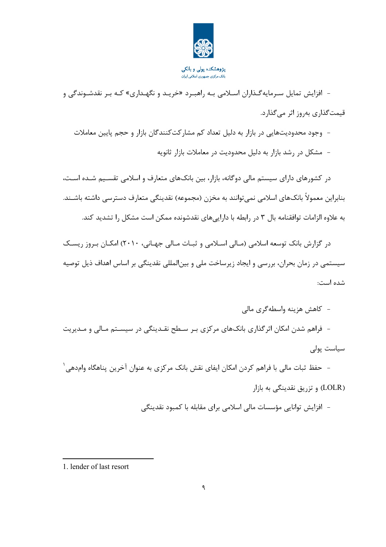

بانک مرکزی جمهوری اسلامی ایران

- افزایش تمایل سـرمایه گـذاران اسـلامی بـه راهبـرد «خریـد و نگهـداری» کـه بـر نقدشـوندگی و قیمت گذاری بهروز اثر می گذارد.

- وجود محدودیتهایی در بازار به دلیل تعداد کم مشارکتکنندگان بازار و حجم پایین معاملات
	- مشکل در رشد بازار به دلیل محدودیت در معاملات بازار ثانویه

در کشورهای دارای سیستم مالی دوگانه، بازار، بین بانکهای متعارف و اسلامی تقسیم شـده اسـت، بنابراین معمولاً بانکهای اسلامی نمی توانند به مخزن (مجموعه) نقدینگی متعارف دسترسی داشته باشـند. به علاوه الزامات توافقنامه بال ۳ در رابطه با داراییهای نقدشونده ممکن است مشکل را تشدید کند.

در گزارش بانک توسعه اسلامی (مـالی اسـلامی و ثبـات مـالی جهـانی، ۲۰۱۰) امکـان بـروز ریسـک سیستمی در زمان بحران، بررسی و ایجاد زیرساخت ملی و بینالمللی نقدینگی بر اساس اهداف ذیل توصیه شده است:

- كاهش هزينه واسطهگري مالي

- فراهم شدن امکان اثر گذاری بانکـهای مرکزی بـر سـطح نقـدینگی در سیسـتم مـالی و مـدیریت سیاست یولی

- حفظ ثبات مالی با فراهم کردن امکان ایفای نقش بانک مرکزی به عنوان آخرین پناهگاه وامدهی  $^\prime$ (LOLR) و تزریق نقدینگی به بازار

– افزایش توانایی مؤسسات مالی اسلامی برای مقابله با کمبود نقدینگی

<sup>1.</sup> lender of last resort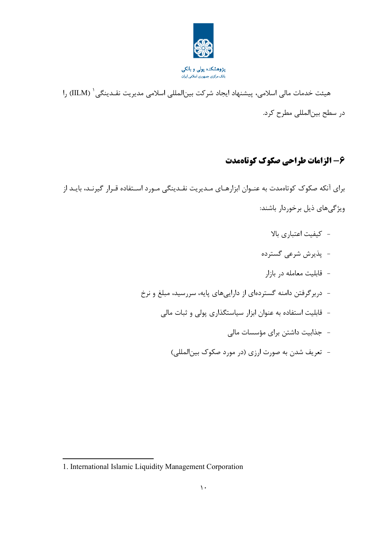

هیئت خدمات مالی اسلامی، پیشنهاد ایجاد شرکت بینالمللی اسلامی مدیریت نقـدینگی ` (IILM) را در سطح بين|لمللي مطرح كرد.

### ۶- الزامات طراحي صكوك كوتاهمدت

برای آنکه صکوک کوتاهمدت به عنـوان ابزارهـای مـدیریت نقـدینگی مـورد اسـتفاده قـرار گیرنـد، بایـد از ویژگی های ذیل برخوردار باشند:

- كيفيت اعتباري بالا
- -يذيرش شرعي گسترده
- قابلیت معامله در بازار
- دربرگرفتن دامنه گستردهای از داراییهای پایه، سررسید، مبلغ و نرخ
	- قابلیت استفاده به عنوان ابزار سیاستگذاری پولی و ثبات مالی
		- جذابیت داشتن برای مؤسسات مالی
		- تعریف شدن به صورت ارزی (در مورد صکوک بین|لمللی)

<sup>1.</sup> International Islamic Liquidity Management Corporation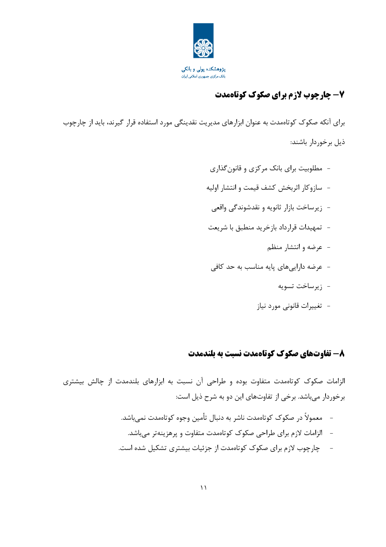

### **7- چارچوب لازم برای صکوک کوتاهمدت**

برای آنکه صکوک کوتاهمدت به عنوان ابزارهای مدیریت نقدینگی مورد استفاده قرار گیرند، باید از چارچوب ذیل برخوردار باشند:

> - مطلوبیت برای بانک مرکزی و قانون گذاری - سازوكار اثربخش كشف قيمت و انتشار اوليه - ; پرساخت بازار ثانویه و نقدشوندگی واقعی - تمهیدات قرارداد بازخرید منطبق با شریعت - عرضه وانتشار منظم - عرضه داراییهای پایه مناسب به حد کافی - زيرساخت تسويه

### - تغییرات قانونی مورد نیاز

#### ۸- تفاوتهای صکوک کوتاهمدت نسبت به بلندمدت

الزامات صکوک کوتاممدت متفاوت بوده و طراحی آن نسبت به ابزارهای بلندمدت از چالش بیشتری برخوردار میباشد. برخی از تفاوتهای این دو به شرح ذیل است:

- معمولاً در صکوک کوتاەمدت ناشر به دنبال تأمین وجوه کوتاەمدت نمے،باشد.  $\overline{a}$ - الزامات لازم برای طراحی صکوک کوتاهمدت متفاوت و پرهزینهتر میباشد.
- چارچوب لازم برای صکوک کوتاهمدت از جزئیات بیشتری تشکیل شده است.  $\sim$   $-$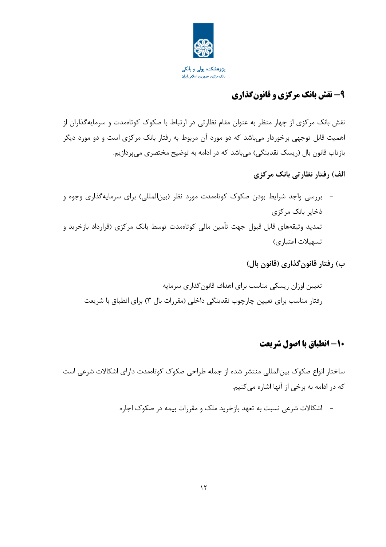

### ۹- نقش بانک مرکزی و قانونگذاری

نقش بانک مرکزی از چهار منظر به عنوان مقام نظارتی در ارتباط با صکوک کوتاهمدت و سرمایهگذاران از اهمیت قابل توجهی برخوردار می باشد که دو مورد آن مربوط به رفتار بانک مرکزی است و دو مورد دیگر بازتاب قانون بال (ریسک نقدینگی) می باشد که در ادامه به توضیح مختصری می پردازیم.

الف) رفتار نظارتی بانک مرکزی

- بررسی واجد شرایط بودن صکوک کوتاهمدت مورد نظر (بین|لمللی) برای سرمایهگذاری وجوه و ذخایر بانک مرکزی
- تمدید وثیقههای قابل قبول جهت تأمین مالی کوتاهمدت توسط بانک مرکزی (قرارداد بازخرید و تسهيلات اعتباري)

ب) رفتار قانون *گ*ذاری (قانون بال)

– تعیین اوزان ریسکی مناسب برای اهداف قانون گذاری سرمایه - رفتار مناسب براي تعيين چارچوب نقدينگي داخلي (مقررات بال ٣) براي انطباق با شريعت

#### 10- انطیاق یا اصول شریعت

ساختار انواع صکوک بین|لمللی منتشر شده از جمله طراحی صکوک کوتاهمدت دارای اشکالات شرعی است که در ادامه به برخی از آنها اشاره می کنیم.

– اشکالات شرعی نسبت به تعهد بازخرید ملک و مقررات بیمه در صکوک اجاره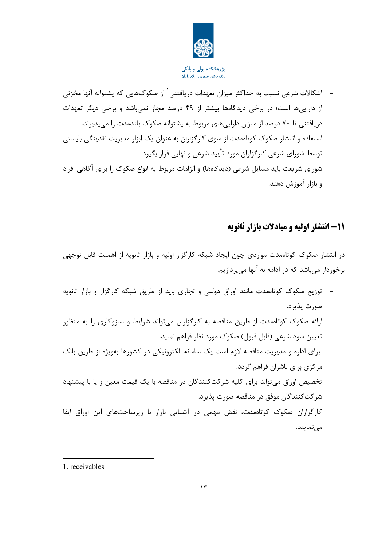

**پژوهشکده پولی و بانکی**<br>بانک مر*کزی* جمهوری اسلامی ایران

- اشکالات شرعی نسبت به حداکثر میزان تعهدات دریافتنی <sup>۱</sup> از صکوکهایی که پشتوانه آنها مخزنی از داراییها است؛ در برخی دیدگاهها بیشتر از ۴۹ درصد مجاز نمیباشد و برخی دیگر تعهدات دریافتنی تا ۷۰ درصد از میزان داراییهای مربوط به پشتوانه صکوک بلندمدت را میپذیرند.
- استفاده و انتشار صکوک کوتاهمدت از سوی کارگزاران به عنوان یک ابزار مدیریت نقدینگی بایستی توسط شورای شرعی کارگزاران مورد تأیید شرعی و نهایی قرار بگیرد.
- شورای شریعت باید مسایل شرعی (دیدگاهها) و الزامات مربوط به انواع صکوک را برای آگاهی افراد و بازار آموزش دهند.

#### 11- انتشار اوليه و ميادلات بازار ثانويه

در انتشار صکوک کوتاهمدت مواردی چون ایجاد شبکه کارگزار اولیه و بازار ثانویه از اهمیت قابل توجهی برخوردار میباشد که در ادامه به آنها می پردازیم.

- توزیع صکوک کوتاهمدت مانند اوراق دولتی و تجاری باید از طریق شبکه کارگزار و بازار ثانویه صورت پذيرد.
- ارائه صکوک کوتاهمدت از طریق مناقصه به کارگزاران میتواند شرایط و سازوکاری را به منظور تعیین سود شرعی (قابل قبول) صکوک مورد نظر فراهم نماید.
- برای اداره و مدیریت مناقصه لازم است یک سامانه الکترونیکی در کشورها بهویژه از طریق بانک مرکزی برای ناشران فراهم گردد.
- تخصیص اوراق می تواند برای کلیه شرکتکنندگان در مناقصه با یک قیمت معین و یا با پیشنهاد شر کت کنندگان موفق در مناقصه صورت پذیرد.
- کارگزاران صکوک کوتاهمدت، نقش مهمی در آشنایی بازار با زیرساختهای این اوراق ایفا می نمایند.

1. receivables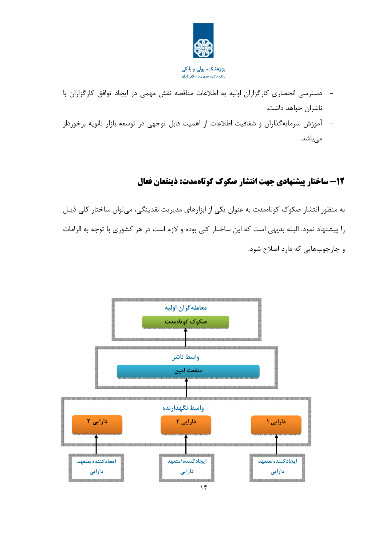

- دسترسی انحصاری کارگزاران اولیه به اطلاعات مناقصه نقش مهمی در ایجاد توافق کارگزاران با ناشران خواهد داشت.
- آموزش سرمایهگذاران و شفافیت اطلاعات از اهمیت قابل توجهی در توسعه بازار ثانویه برخوردار مے باشد.

### 12- ساختار پیشنهادی جهت انتشار صکوک کوتاهمدت: ذینفعان فعال

به منظور انتشار صکوک کوتاهمدت به عنوان یکی از ابزارهای مدیریت نقدینگی، میتوان ساختار کلی ذیـل را پیشنهاد نمود. البته بدیهی است که این ساختار کلی بوده و لازم است در هر کشوری با توجه به الزامات و چارچوبهایی که دارد اصلاح شود.

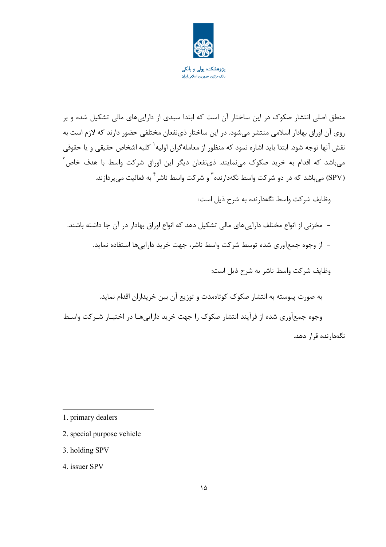

منطق اصلی انتشار صکوک در این ساختار آن است که ابتدا سبدی از داراییهای مالی تشکیل شده و بر روی آن اوراق بهادار اسلامی منتشر می شود. در این ساختار ذی نفعان مختلفی حضور دارند که لازم است به نقش آنها توجه شود. ابتدا باید اشاره نمود که منظور از معاملهگران اولیه<sup>۱</sup> کلیه اشخاص حقیقی و یا حقوقی میباشد که اقدام به خرید صکوک مینمایند. ذینفعان دیگر این اوراق شرکت واسط با هدف خاص<sup>۲</sup> (SPV) میباشد که در دو شرکت واسط نگهدارنده<sup>۳</sup> و شرکت واسط ناشر<sup>۴</sup> به فعالیت میپردازند.

وظایف شرکت واسط نگهدارنده به شرح ذیل است:

– مخزنی از انواع مختلف داراییهای مالی تشکیل دهد که انواع اوراق بهادار در آن جا داشته باشند. - از وجوه جمع[وری شده توسط شرکت واسط ناشر، جهت خرید داراییها استفاده نماید.

وظایف شرکت واسط ناشر به شرح ذیل است:

- به صورت پیوسته به انتشار صکوک کوتاهمدت و توزیع آن بین خریداران اقدام نماید. - وجوه جمع[وری شده از فرآیند انتشار صکوک را جهت خرید دارایی هـا در اختیـار شـرکت واسـط نگەدارندە قرار دھد.

1. primary dealers

- 2. special purpose vehicle
- 3. holding SPV

4. issuer SPV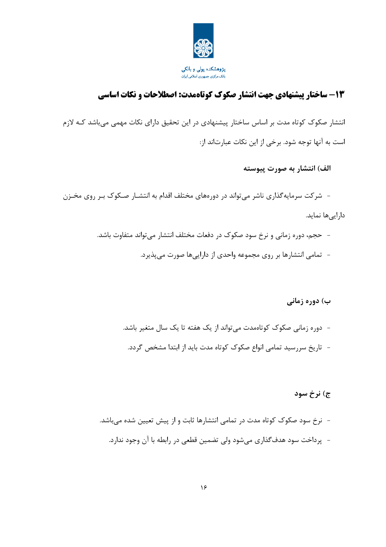

### 13- ساختار پیشنهادی جهت انتشار صکوک کوتاهمدت: اصطلاحات و نکات اساسی

انتشار صکوک کوتاه مدت بر اساس ساختار پیشنهادی در این تحقیق دارای نکات مهمی میباشد کـه لازم است به آنها توجه شود. برخی از این نکات عبارتاند از:

#### الف) انتشار به صورت پیوسته

- شرکت سرمایهگذاری ناشر می تواند در دورههای مختلف اقدام به انتشـار صـکوک بـر روی مخـزن دارایے ها نماید.

- حجم، دوره زمانی و نرخ سود صکوک در دفعات مختلف انتشار می تواند متفاوت باشد.
	- تمامی انتشارها بر روی مجموعه واحدی از داراییها صورت می پذیرد.

#### ب) دوره زمانی

- دوره زمانی صکوک کوتاهمدت می تواند از یک هفته تا یک سال متغیر باشد. - \_ تاریخ سررسید تمامی انواع صکوک کوتاه مدت باید از ابتدا مشخص گردد.

#### ج) نرخ سود

– نرخ سود صکوک کوتاه مدت در تمامی انتشارها ثابت و از پیش تعیین شده میباشد. - پرداخت سود هدف گذاری می شود ولی تضمین قطعی در رابطه با آن وجود ندارد.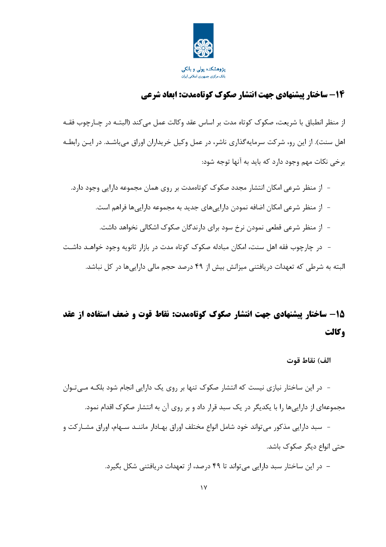

### ۱۴- ساختار پیشنهادی جهت انتشار صکوک کوتاهمدت: ابعاد شرعی

از منظر انطباق با شریعت، صکوک کوتاه مدت بر اساس عقد وکالت عمل میکند (البتـه در چـارچوب فقـه اهل سنت). از این رو، شرکت سرمایهگذاری ناشر، در عمل وکیل خریداران اوراق میباشـد. در ایـن رابطـه برخي نکات مهم وجود دارد که بايد به آنها توجه شود:

- از منظر شرعی امکان انتشار مجدد صکوک کوتاهمدت بر روی همان مجموعه دارایی وجود دارد. – از منظر شرعی امکان اضافه نمودن داراییهای جدید به مجموعه داراییها فراهم است. – از منظر شرعی قطعی نمودن نرخ سود برای دارندگان صکوک اشکالی نخواهد داشت. – در چارچوب فقه اهل سنت، امکان مبادله صکوک کوتاه مدت در بازار ثانویه وجود خواهـد داشـت البته به شرطی که تعهدات دریافتنی میزانش بیش از ۴۹ درصد حجم مالی دارایی ها در کل نباشد.

# 15- ساختار پیشنهادی جهت انتشار صکوک کوتاهمدت: نقاط قوت و ضعف استفاده از عقد وكالت

الف) نقاط قوت

- در این ساختار نیازی نیست که انتشار صکوک تنها بر روی یک دارایی انجام شود بلکـه مـی تـوان مجموعهای از داراییها را با یکدیگر در یک سبد قرار داد و بر روی آن به انتشار صکوک اقدام نمود.

– سبد دارایی مذکور می تواند خود شامل انواع مختلف اوراق بهـادار ماننــد سـهام، اوراق مشــار کت و حتے انواع دیگر صکوک پاشد.

– در این ساختار سبد دارایی میتواند تا ۴۹ درصد، از تعهدات دریافتنی شکل بگیرد.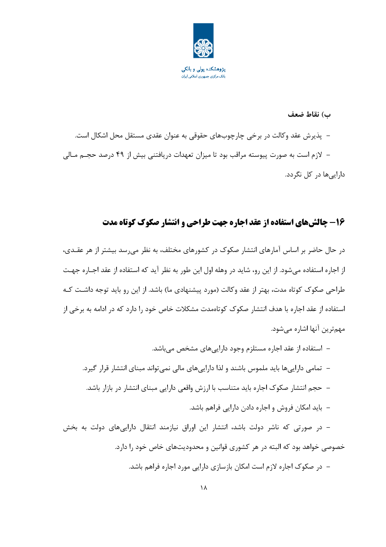

#### ب) نقاط ضعف

– پذیرش عقد وکالت در برخی چارچوبهای حقوقی به عنوان عقدی مستقل محل اشکال است. – لازم است به صورت پیوسته مراقب بود تا میزان تعهدات دریافتنی بیش از ۴۹ درصد حجـم مـالی دارایے ها در کل نگردد.

### ۱۶- چالشهای استفاده از عقد اجاره جهت طراحی و انتشار صکوک کوتاه مدت

در حال حاضر بر اساس آمارهای انتشار صکوک در کشورهای مختلف، به نظر می رسد بیشتر از هر عقـدی، از اجاره استفاده میشود. از این رو، شاید در وهله اول این طور به نظر آید که استفاده از عقد اجـاره جهـت طراحی صکوک کوتاه مدت، بهتر از عقد وکالت (مورد پیشنهادی ما) باشد. از این رو باید توجه داشت کـه استفاده از عقد اجاره با هدف انتشار صکوک کوتاهمدت مشکلات خاص خود را دارد که در ادامه به برخی از مهم ترین آنها اشاره مے شود.

– استفاده از عقد اجاره مستلزم وجود دارایی های مشخص می باشد. – تمامی دارایی ها باید ملموس باشند و لذا دارایی های مالی نمی تواند مبنای انتشار قرار گیرد. – حجم انتشار صکوک اجاره باید متناسب با ارزش واقعی دارایی مبنای انتشار در بازار باشد. – باید امکان فروش و اجاره دادن دارایی فراهم باشد. – در صورتی که ناشر دولت باشد، انتشار این اوراق نیازمند انتقال داراییهای دولت به بخش خصوصی خواهد بود که البته در هر کشوری قوانین و محدودیتهای خاص خود را دارد. – در صکوک اجاره لازم است امکان بازسازی دارایی مورد اجاره فراهم باشد.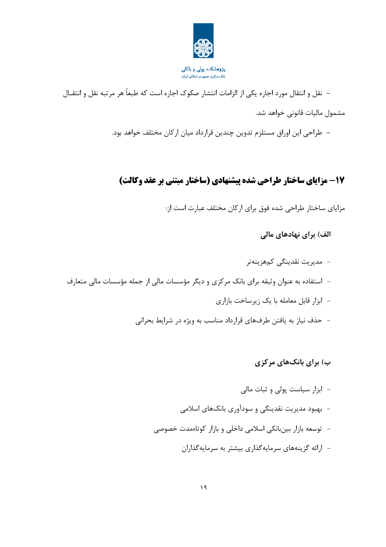

– نقل و انتقال مورد اجاره يكي از الزامات انتشار صكوك اجاره است كه طبعاً هر مرتبه نقل و انتقــال مشمول مالیات قانونی خواهد شد.

– طراحی این اوراق مستلزم تدوین چندین قرارداد میان ارکان مختلف خواهد بود.

### 17- مزایای ساختار طراحی شده پیشنهادی (ساختار مبتنی بر عقد وکالت)

مزایای ساختار طراحی شده فوق برای ارکان مختلف عبارت است از:

الف) برای نهادهای مالی

### ب) برای بانکهای مرکزی